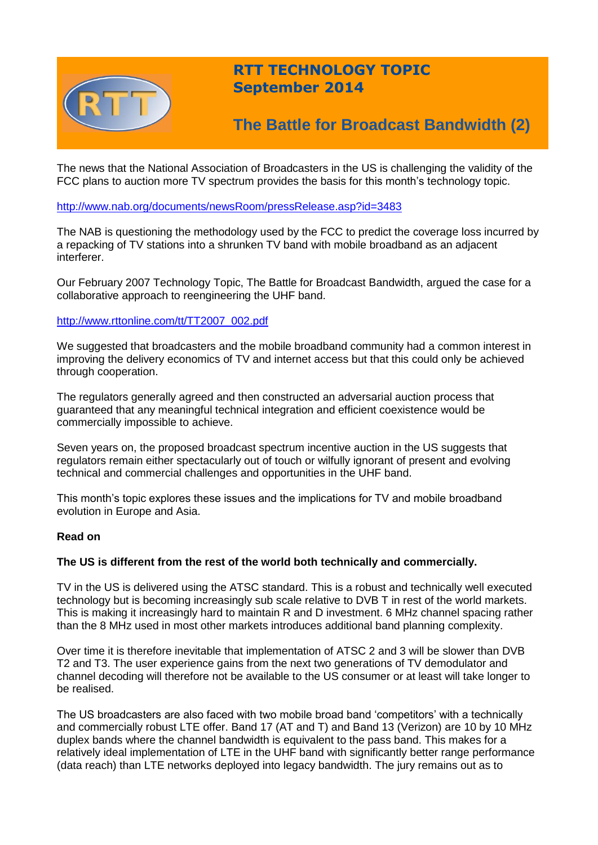

# **RTT TECHNOLOGY TOPIC September 2014**

# **The Battle for Broadcast Bandwidth (2)**

The news that the National Association of Broadcasters in the US is challenging the validity of the FCC plans to auction more TV spectrum provides the basis for this month's technology topic.

# <http://www.nab.org/documents/newsRoom/pressRelease.asp?id=3483>

The NAB is questioning the methodology used by the FCC to predict the coverage loss incurred by a repacking of TV stations into a shrunken TV band with mobile broadband as an adjacent interferer.

Our February 2007 Technology Topic, The Battle for Broadcast Bandwidth, argued the case for a collaborative approach to reengineering the UHF band.

# [http://www.rttonline.com/tt/TT2007\\_002.pdf](http://www.rttonline.com/tt/TT2007_002.pdf)

We suggested that broadcasters and the mobile broadband community had a common interest in improving the delivery economics of TV and internet access but that this could only be achieved through cooperation.

The regulators generally agreed and then constructed an adversarial auction process that guaranteed that any meaningful technical integration and efficient coexistence would be commercially impossible to achieve.

Seven years on, the proposed broadcast spectrum incentive auction in the US suggests that regulators remain either spectacularly out of touch or wilfully ignorant of present and evolving technical and commercial challenges and opportunities in the UHF band.

This month's topic explores these issues and the implications for TV and mobile broadband evolution in Europe and Asia.

### **Read on**

### **The US is different from the rest of the world both technically and commercially.**

TV in the US is delivered using the ATSC standard. This is a robust and technically well executed technology but is becoming increasingly sub scale relative to DVB T in rest of the world markets. This is making it increasingly hard to maintain R and D investment. 6 MHz channel spacing rather than the 8 MHz used in most other markets introduces additional band planning complexity.

Over time it is therefore inevitable that implementation of ATSC 2 and 3 will be slower than DVB T2 and T3. The user experience gains from the next two generations of TV demodulator and channel decoding will therefore not be available to the US consumer or at least will take longer to be realised.

The US broadcasters are also faced with two mobile broad band 'competitors' with a technically and commercially robust LTE offer. Band 17 (AT and T) and Band 13 (Verizon) are 10 by 10 MHz duplex bands where the channel bandwidth is equivalent to the pass band. This makes for a relatively ideal implementation of LTE in the UHF band with significantly better range performance (data reach) than LTE networks deployed into legacy bandwidth. The jury remains out as to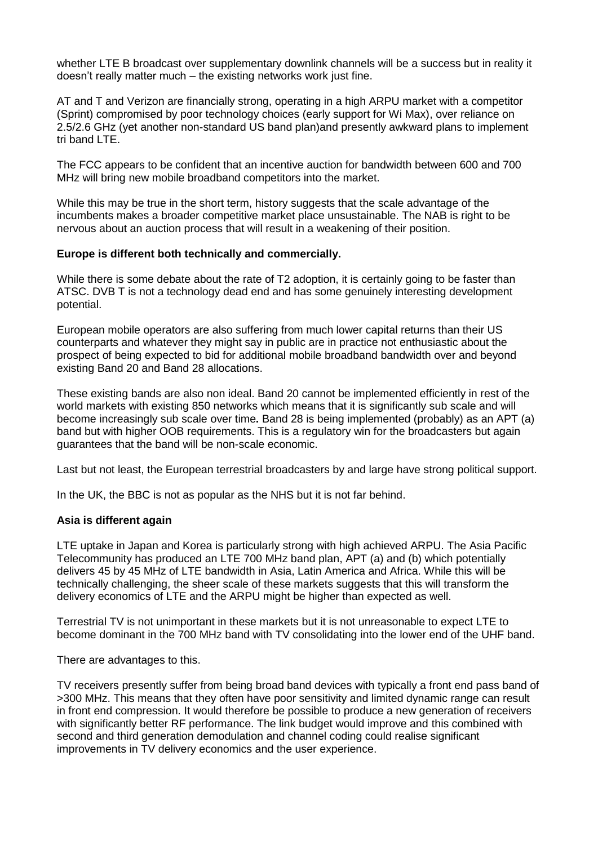whether LTE B broadcast over supplementary downlink channels will be a success but in reality it doesn't really matter much – the existing networks work just fine.

AT and T and Verizon are financially strong, operating in a high ARPU market with a competitor (Sprint) compromised by poor technology choices (early support for Wi Max), over reliance on 2.5/2.6 GHz (yet another non-standard US band plan)and presently awkward plans to implement tri band LTE.

The FCC appears to be confident that an incentive auction for bandwidth between 600 and 700 MHz will bring new mobile broadband competitors into the market.

While this may be true in the short term, history suggests that the scale advantage of the incumbents makes a broader competitive market place unsustainable. The NAB is right to be nervous about an auction process that will result in a weakening of their position.

# **Europe is different both technically and commercially.**

While there is some debate about the rate of T2 adoption, it is certainly going to be faster than ATSC. DVB T is not a technology dead end and has some genuinely interesting development potential.

European mobile operators are also suffering from much lower capital returns than their US counterparts and whatever they might say in public are in practice not enthusiastic about the prospect of being expected to bid for additional mobile broadband bandwidth over and beyond existing Band 20 and Band 28 allocations.

These existing bands are also non ideal. Band 20 cannot be implemented efficiently in rest of the world markets with existing 850 networks which means that it is significantly sub scale and will become increasingly sub scale over time**.** Band 28 is being implemented (probably) as an APT (a) band but with higher OOB requirements. This is a regulatory win for the broadcasters but again guarantees that the band will be non-scale economic.

Last but not least, the European terrestrial broadcasters by and large have strong political support.

In the UK, the BBC is not as popular as the NHS but it is not far behind.

### **Asia is different again**

LTE uptake in Japan and Korea is particularly strong with high achieved ARPU. The Asia Pacific Telecommunity has produced an LTE 700 MHz band plan, APT (a) and (b) which potentially delivers 45 by 45 MHz of LTE bandwidth in Asia, Latin America and Africa. While this will be technically challenging, the sheer scale of these markets suggests that this will transform the delivery economics of LTE and the ARPU might be higher than expected as well.

Terrestrial TV is not unimportant in these markets but it is not unreasonable to expect LTE to become dominant in the 700 MHz band with TV consolidating into the lower end of the UHF band.

There are advantages to this.

TV receivers presently suffer from being broad band devices with typically a front end pass band of >300 MHz. This means that they often have poor sensitivity and limited dynamic range can result in front end compression. It would therefore be possible to produce a new generation of receivers with significantly better RF performance. The link budget would improve and this combined with second and third generation demodulation and channel coding could realise significant improvements in TV delivery economics and the user experience.